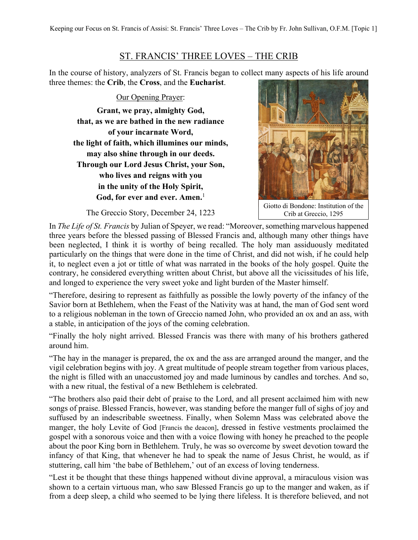## ST. FRANCIS' THREE LOVES – THE CRIB

In the course of history, analyzers of St. Francis began to collect many aspects of his life around three themes: the **Crib**, the **Cross**, and the **Eucharist**.

Our Opening Prayer: **Grant, we pray, almighty God, that, as we are bathed in the new radiance of your incarnate Word, the light of faith, which illumines our minds, may also shine through in our deeds. Through our Lord Jesus Christ, your Son, who lives and reigns with you in the unity of the Holy Spirit, God, for ever and ever. Amen.**<sup>1</sup>



Giotto di Bondone: Institution of the Crib at Greccio, 1295

The Greccio Story, December 24, 1223

In *The Life of St. Francis* by Julian of Speyer, we read: "Moreover, something marvelous happened three years before the blessed passing of Blessed Francis and, although many other things have been neglected, I think it is worthy of being recalled. The holy man assiduously meditated particularly on the things that were done in the time of Christ, and did not wish, if he could help it, to neglect even a jot or tittle of what was narrated in the books of the holy gospel. Quite the contrary, he considered everything written about Christ, but above all the vicissitudes of his life, and longed to experience the very sweet yoke and light burden of the Master himself.

"Therefore, desiring to represent as faithfully as possible the lowly poverty of the infancy of the Savior born at Bethlehem, when the Feast of the Nativity was at hand, the man of God sent word to a religious nobleman in the town of Greccio named John, who provided an ox and an ass, with a stable, in anticipation of the joys of the coming celebration.

"Finally the holy night arrived. Blessed Francis was there with many of his brothers gathered around him.

"The hay in the manager is prepared, the ox and the ass are arranged around the manger, and the vigil celebration begins with joy. A great multitude of people stream together from various places, the night is filled with an unaccustomed joy and made luminous by candles and torches. And so, with a new ritual, the festival of a new Bethlehem is celebrated.

"The brothers also paid their debt of praise to the Lord, and all present acclaimed him with new songs of praise. Blessed Francis, however, was standing before the manger full of sighs of joy and suffused by an indescribable sweetness. Finally, when Solemn Mass was celebrated above the manger, the holy Levite of God [Francis the deacon], dressed in festive vestments proclaimed the gospel with a sonorous voice and then with a voice flowing with honey he preached to the people about the poor King born in Bethlehem. Truly, he was so overcome by sweet devotion toward the infancy of that King, that whenever he had to speak the name of Jesus Christ, he would, as if stuttering, call him 'the babe of Bethlehem,' out of an excess of loving tenderness.

"Lest it be thought that these things happened without divine approval, a miraculous vision was shown to a certain virtuous man, who saw Blessed Francis go up to the manger and waken, as if from a deep sleep, a child who seemed to be lying there lifeless. It is therefore believed, and not